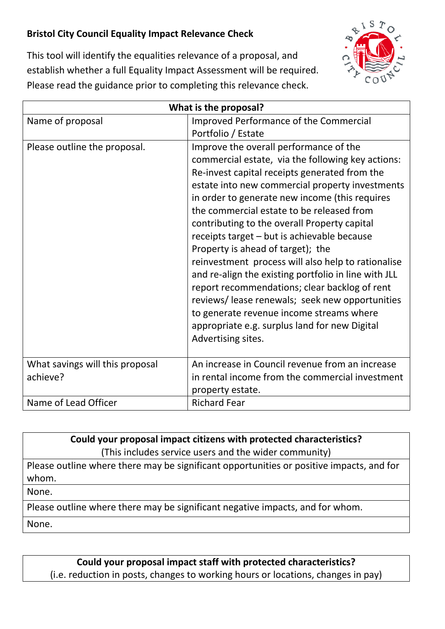## **Bristol City Council Equality Impact Relevance Check**



This tool will identify the equalities relevance of a proposal, and establish whether a full Equality Impact Assessment will be required. Please read the guidance prior to completing this relevance check.

| What is the proposal?           |                                                      |
|---------------------------------|------------------------------------------------------|
| Name of proposal                | Improved Performance of the Commercial               |
|                                 | Portfolio / Estate                                   |
| Please outline the proposal.    | Improve the overall performance of the               |
|                                 | commercial estate, via the following key actions:    |
|                                 | Re-invest capital receipts generated from the        |
|                                 | estate into new commercial property investments      |
|                                 | in order to generate new income (this requires       |
|                                 | the commercial estate to be released from            |
|                                 | contributing to the overall Property capital         |
|                                 | receipts target - but is achievable because          |
|                                 | Property is ahead of target); the                    |
|                                 | reinvestment process will also help to rationalise   |
|                                 | and re-align the existing portfolio in line with JLL |
|                                 | report recommendations; clear backlog of rent        |
|                                 | reviews/lease renewals; seek new opportunities       |
|                                 | to generate revenue income streams where             |
|                                 | appropriate e.g. surplus land for new Digital        |
|                                 | Advertising sites.                                   |
|                                 |                                                      |
| What savings will this proposal | An increase in Council revenue from an increase      |
| achieve?                        | in rental income from the commercial investment      |
|                                 | property estate.                                     |
| Name of Lead Officer            | <b>Richard Fear</b>                                  |

**Could your proposal impact citizens with protected characteristics?** (This includes service users and the wider community)

Please outline where there may be significant opportunities or positive impacts, and for whom.

None.

Please outline where there may be significant negative impacts, and for whom.

None.

## **Could your proposal impact staff with protected characteristics?**

(i.e. reduction in posts, changes to working hours or locations, changes in pay)